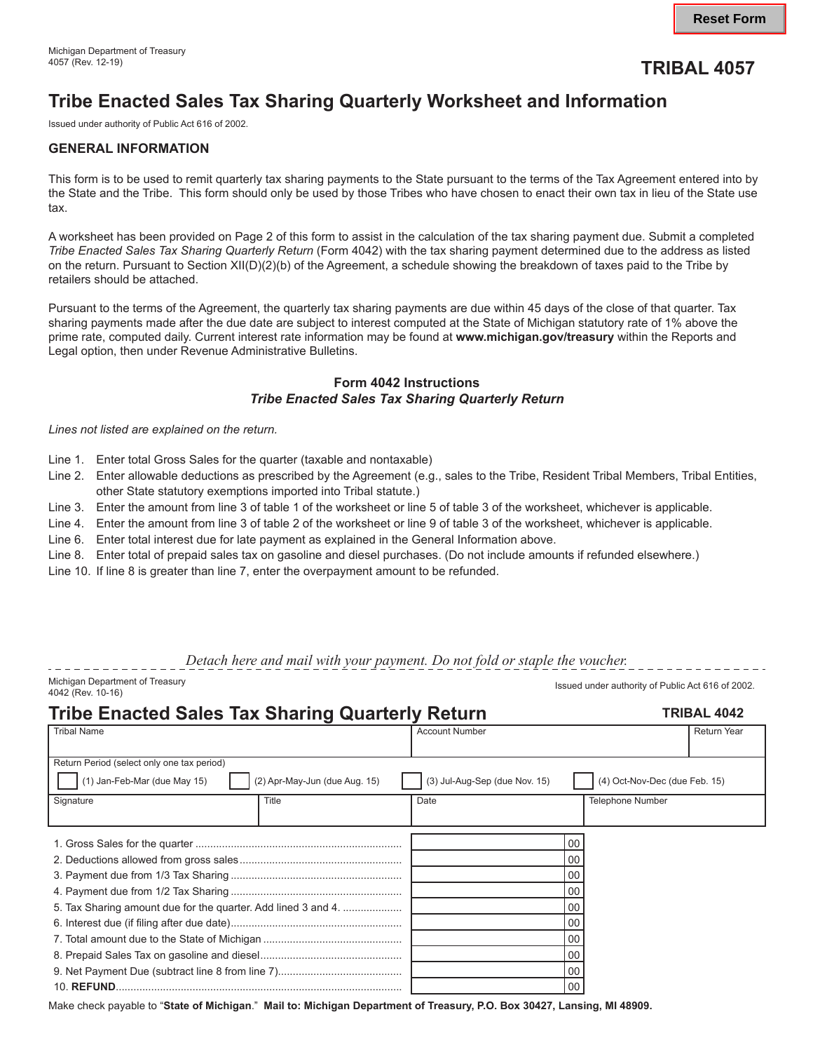## 4057 (Rev. 12-19) **TRIBAL 4057**

# **Tribe Enacted Sales Tax Sharing Quarterly Worksheet and Information**

Issued under authority of Public Act 616 of 2002.

### **GENERAL INFORMATION**

This form is to be used to remit quarterly tax sharing payments to the State pursuant to the terms of the Tax Agreement entered into by the State and the Tribe. This form should only be used by those Tribes who have chosen to enact their own tax in lieu of the State use tax.

A worksheet has been provided on Page 2 of this form to assist in the calculation of the tax sharing payment due. Submit a completed *Tribe Enacted Sales Tax Sharing Quarterly Return* (Form 4042) with the tax sharing payment determined due to the address as listed on the return. Pursuant to Section XII(D)(2)(b) of the Agreement, a schedule showing the breakdown of taxes paid to the Tribe by retailers should be attached.

Pursuant to the terms of the Agreement, the quarterly tax sharing payments are due within 45 days of the close of that quarter. Tax sharing payments made after the due date are subject to interest computed at the State of Michigan statutory rate of 1% above the prime rate, computed daily. Current interest rate information may be found at **<www.michigan.gov/treasury>** within the Reports and Legal option, then under Revenue Administrative Bulletins.

### **Form 4042 Instructions**  *Tribe Enacted Sales Tax Sharing Quarterly Return*

*Lines not listed are explained on the return.* 

- Line 1. Enter total Gross Sales for the quarter (taxable and nontaxable)
- Line 2. Enter allowable deductions as prescribed by the Agreement (e.g., sales to the Tribe, Resident Tribal Members, Tribal Entities, other State statutory exemptions imported into Tribal statute.)
- Line 3. Enter the amount from line 3 of table 1 of the worksheet or line 5 of table 3 of the worksheet, whichever is applicable.
- Line 4. Enter the amount from line 3 of table 2 of the worksheet or line 9 of table 3 of the worksheet, whichever is applicable.
- Line 6. Enter total interest due for late payment as explained in the General Information above.
- Line 8. Enter total of prepaid sales tax on gasoline and diesel purchases. (Do not include amounts if refunded elsewhere.)
- Line 10. If line 8 is greater than line 7, enter the overpayment amount to be refunded.

*Detach here and mail with your payment. Do not fold or staple the voucher.* 

Michigan Department of Treasury Issued under authority of Public Act 616 of 2002. 4042 (Rev. 10-16)

. . . . . . . . . . . . . . .

| <b>Tribe Enacted Sales Tax Sharing Quarterly Return</b>       |                               |                               |                               | <b>TRIBAL 4042</b> |  |  |
|---------------------------------------------------------------|-------------------------------|-------------------------------|-------------------------------|--------------------|--|--|
| <b>Tribal Name</b>                                            |                               | <b>Account Number</b>         |                               | <b>Return Year</b> |  |  |
|                                                               |                               |                               |                               |                    |  |  |
| Return Period (select only one tax period)                    |                               |                               |                               |                    |  |  |
| (1) Jan-Feb-Mar (due May 15)                                  | (2) Apr-May-Jun (due Aug. 15) | (3) Jul-Aug-Sep (due Nov. 15) | (4) Oct-Nov-Dec (due Feb. 15) |                    |  |  |
| Signature                                                     | Title                         | Date                          | <b>Telephone Number</b>       |                    |  |  |
|                                                               |                               |                               |                               |                    |  |  |
|                                                               |                               |                               | 00                            |                    |  |  |
|                                                               |                               |                               | 00                            |                    |  |  |
|                                                               |                               |                               | 00                            |                    |  |  |
|                                                               |                               |                               | 00                            |                    |  |  |
| 5. Tax Sharing amount due for the quarter. Add lined 3 and 4. |                               |                               | 00                            |                    |  |  |
|                                                               |                               |                               | 00                            |                    |  |  |
|                                                               |                               |                               | 00                            |                    |  |  |
|                                                               |                               |                               | 00                            |                    |  |  |
|                                                               |                               |                               | 00                            |                    |  |  |
|                                                               |                               |                               | 00                            |                    |  |  |

Make check payable to "**State of Michigan**." **Mail to: Michigan Department of Treasury, P.O. Box 30427, Lansing, MI 48909.**